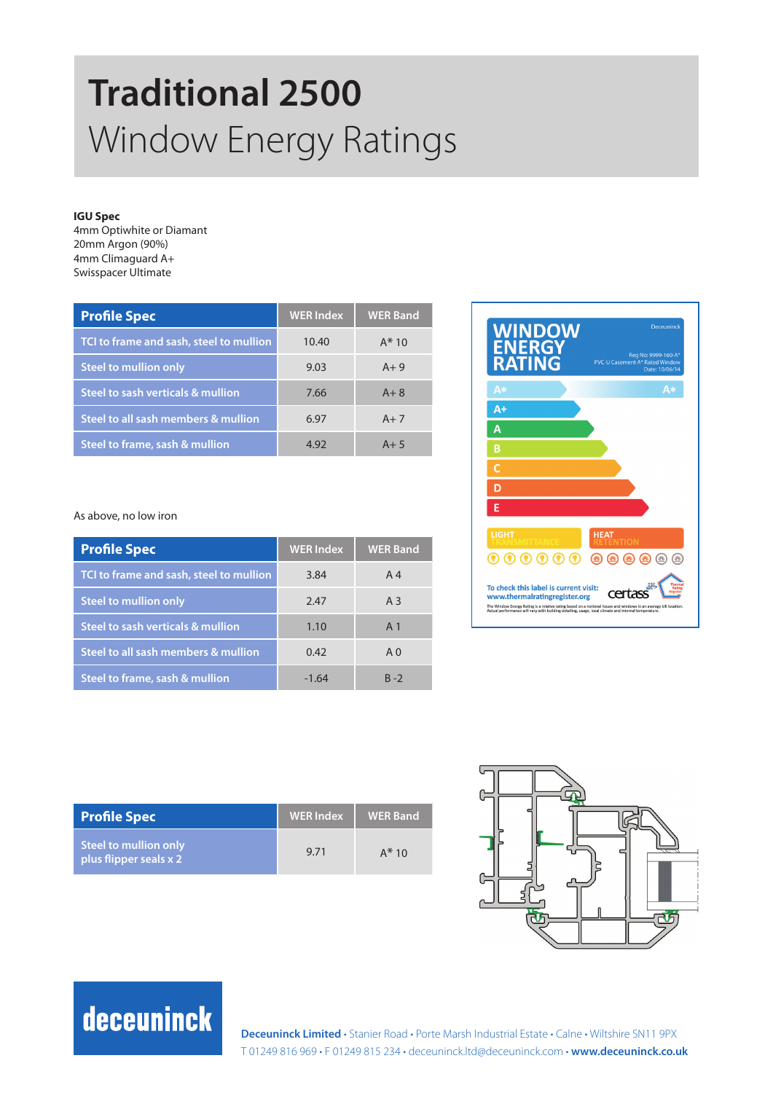# **Traditional 2500**  Window Energy Ratings

#### **IGU Spec**

4mm Optiwhite or Diamant 20mm Argon (90%) 4mm Climaguard A+ Swisspacer Ultimate

| <b>Profile Spec</b>                       | <b>WER Index</b> | <b>WER Band</b> |
|-------------------------------------------|------------------|-----------------|
| TCI to frame and sash, steel to mullion   | 10.40            | $A*10$          |
| <b>Steel to mullion only</b>              | 9.03             | $A + 9$         |
| Steel to sash verticals & mullion         | 7.66             | $A + 8$         |
| Steel to all sash members & mullion       | 6.97             | $A+7$           |
| <b>Steel to frame, sash &amp; mullion</b> | 4.92             | $A + 5$         |

As above, no low iron

| <b>Profile Spec</b>                     | <b>WER</b> Index | <b>WER Band</b> |
|-----------------------------------------|------------------|-----------------|
| TCI to frame and sash, steel to mullion | 3.84             | A <sub>4</sub>  |
| <b>Steel to mullion only</b>            | 2.47             | A <sub>3</sub>  |
| Steel to sash verticals & mullion       | 1.10             | A <sub>1</sub>  |
| Steel to all sash members & mullion     | 0.42             | A <sub>0</sub>  |
| Steel to frame, sash & mullion          | $-1.64$          | $R - 2$         |



| <b>Profile Spec</b>                             | <b>WER</b> Index | <b>WER Band</b> |
|-------------------------------------------------|------------------|-----------------|
| Steel to mullion only<br>plus flipper seals x 2 | 9.71             | $A*10$          |



### deceuninck

**Deceuninck Limited** • Stanier Road • Porte Marsh Industrial Estate • Calne • Wiltshire SN11 9PX T 01249 816 969 • F 01249 815 234 • deceuninck.ltd@deceuninck.com • **www.deceuninck.co.uk**